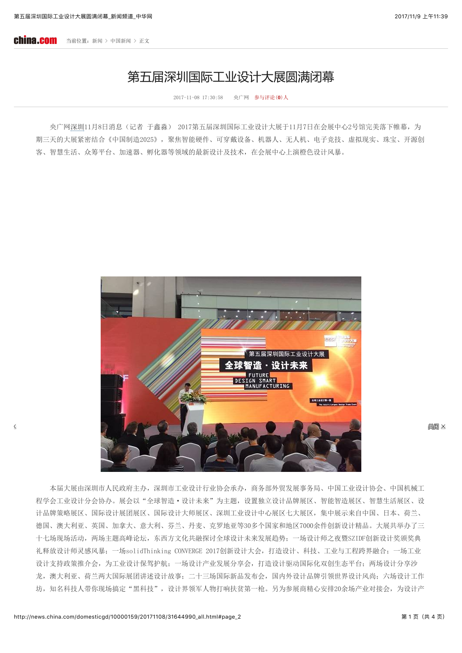## 第五届深圳国际工业设计大展圆满闭幕

 $2017 - 11 - 08$   $17:30:58$ 央广网 参与评论(0)人

央广网深圳11月8日消息(记者 于鑫淼) 2017第五届深圳国际工业设计大展于11月7日在会展中心2号馆完美落下帷幕, 为 期三天的大展紧密结合《中国制造2025》,聚焦智能硬件、可穿戴设备、机器人、无人机、电子竞技、虚拟现实、珠宝、开源创 客、智慧生活、众筹平台、加速器、孵化器等领域的最新设计及技术,在会展中心上演橙色设计风暴。



鶏師 区

本届大展由深圳市人民政府主办,深圳市工业设计行业协会承办,商务部外贸发展事务局、中国工业设计协会、中国机械工 程学会工业设计分会协办。展会以"全球智造·设计未来"为主题,设置独立设计品牌展区、智能智造展区、智慧生活展区、设 计品牌策略展区、国际设计展团展区、国际设计大师展区、深圳工业设计中心展区七大展区,集中展示来自中国、日本、荷兰、 德国、澳大利亚、英国、加拿大、意大利、芬兰、丹麦、克罗地亚等30多个国家和地区7000余件创新设计精品。大展共举办了三 十七场现场活动, 两场主题高峰论坛, 东西方文化共融探讨全球设计未来发展趋势; 一场设计师之夜暨SZIDF创新设计奖颁奖典 礼释放设计师灵感风暴;一场solidThinking CONVERGE 2017创新设计大会, 打造设计、科技、工业与工程跨界融合; 一场工业 设计支持政策推介会,为工业设计保驾护航;一场设计产业发展分享会,打造设计驱动国际化双创生态平台;两场设计分享沙 龙, 澳大利亚、荷兰两大国际展团讲述设计故事; 二十三场国际新品发布会, 国内外设计品牌引领世界设计风尚; 六场设计工作 坊,知名科技人带你现场搞定"黑科技",设计界领军人物打响扶贫第一枪。另为参展商精心安排20余场产业对接会,为设计产